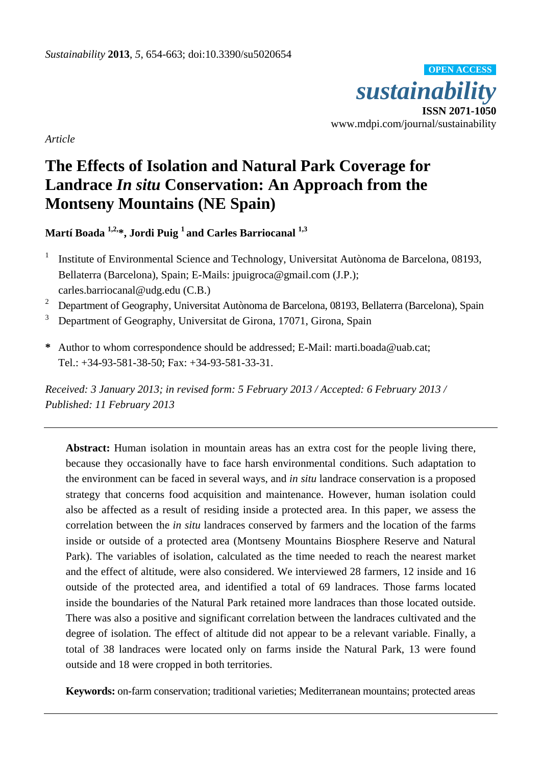*sustainability*  **ISSN 2071-1050**  www.mdpi.com/journal/sustainability **OPEN ACCESS**

*Article* 

# **The Effects of Isolation and Natural Park Coverage for Landrace** *In situ* **Conservation: An Approach from the Montseny Mountains (NE Spain)**

Martí Boada<sup>1,2,\*</sup>, Jordi Puig<sup>1</sup> and Carles Barriocanal<sup>1,3</sup>

- 1 Institute of Environmental Science and Technology, Universitat Autònoma de Barcelona, 08193, Bellaterra (Barcelona), Spain; E-Mails: jpuigroca@gmail.com (J.P.); carles.barriocanal@udg.edu (C.B.)
- <sup>2</sup> Department of Geography, Universitat Autònoma de Barcelona, 08193, Bellaterra (Barcelona), Spain
- <sup>3</sup> Department of Geography, Universitat de Girona, 17071, Girona, Spain
- **\*** Author to whom correspondence should be addressed; E-Mail: marti.boada@uab.cat; Tel.: +34-93-581-38-50; Fax: +34-93-581-33-31.

*Received: 3 January 2013; in revised form: 5 February 2013 / Accepted: 6 February 2013 / Published: 11 February 2013* 

**Abstract:** Human isolation in mountain areas has an extra cost for the people living there, because they occasionally have to face harsh environmental conditions. Such adaptation to the environment can be faced in several ways, and *in situ* landrace conservation is a proposed strategy that concerns food acquisition and maintenance. However, human isolation could also be affected as a result of residing inside a protected area. In this paper, we assess the correlation between the *in situ* landraces conserved by farmers and the location of the farms inside or outside of a protected area (Montseny Mountains Biosphere Reserve and Natural Park). The variables of isolation, calculated as the time needed to reach the nearest market and the effect of altitude, were also considered. We interviewed 28 farmers, 12 inside and 16 outside of the protected area, and identified a total of 69 landraces. Those farms located inside the boundaries of the Natural Park retained more landraces than those located outside. There was also a positive and significant correlation between the landraces cultivated and the degree of isolation. The effect of altitude did not appear to be a relevant variable. Finally, a total of 38 landraces were located only on farms inside the Natural Park, 13 were found outside and 18 were cropped in both territories.

**Keywords:** on-farm conservation; traditional varieties; Mediterranean mountains; protected areas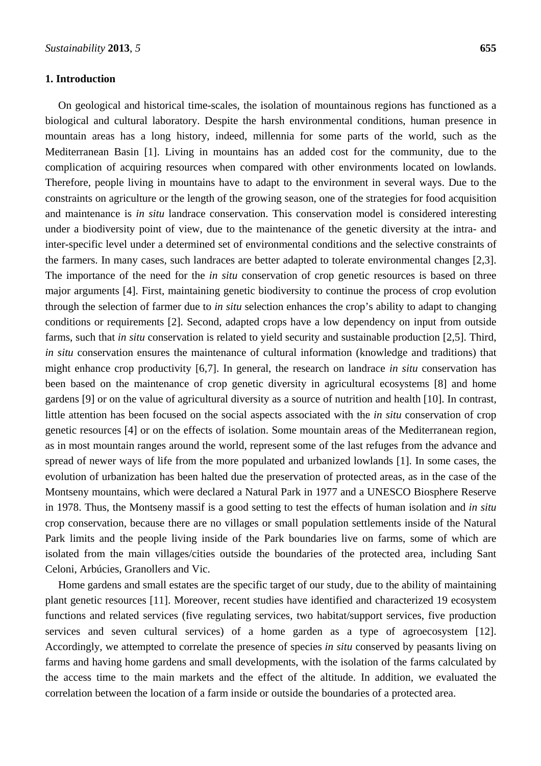## **1. Introduction**

On geological and historical time-scales, the isolation of mountainous regions has functioned as a biological and cultural laboratory. Despite the harsh environmental conditions, human presence in mountain areas has a long history, indeed, millennia for some parts of the world, such as the Mediterranean Basin [1]. Living in mountains has an added cost for the community, due to the complication of acquiring resources when compared with other environments located on lowlands. Therefore, people living in mountains have to adapt to the environment in several ways. Due to the constraints on agriculture or the length of the growing season, one of the strategies for food acquisition and maintenance is *in situ* landrace conservation. This conservation model is considered interesting under a biodiversity point of view, due to the maintenance of the genetic diversity at the intra- and inter-specific level under a determined set of environmental conditions and the selective constraints of the farmers. In many cases, such landraces are better adapted to tolerate environmental changes [2,3]. The importance of the need for the *in situ* conservation of crop genetic resources is based on three major arguments [4]. First, maintaining genetic biodiversity to continue the process of crop evolution through the selection of farmer due to *in situ* selection enhances the crop's ability to adapt to changing conditions or requirements [2]. Second, adapted crops have a low dependency on input from outside farms, such that *in situ* conservation is related to yield security and sustainable production [2,5]. Third, *in situ* conservation ensures the maintenance of cultural information (knowledge and traditions) that might enhance crop productivity [6,7]. In general, the research on landrace *in situ* conservation has been based on the maintenance of crop genetic diversity in agricultural ecosystems [8] and home gardens [9] or on the value of agricultural diversity as a source of nutrition and health [10]. In contrast, little attention has been focused on the social aspects associated with the *in situ* conservation of crop genetic resources [4] or on the effects of isolation. Some mountain areas of the Mediterranean region, as in most mountain ranges around the world, represent some of the last refuges from the advance and spread of newer ways of life from the more populated and urbanized lowlands [1]. In some cases, the evolution of urbanization has been halted due the preservation of protected areas, as in the case of the Montseny mountains, which were declared a Natural Park in 1977 and a UNESCO Biosphere Reserve in 1978. Thus, the Montseny massif is a good setting to test the effects of human isolation and *in situ* crop conservation, because there are no villages or small population settlements inside of the Natural Park limits and the people living inside of the Park boundaries live on farms, some of which are isolated from the main villages/cities outside the boundaries of the protected area, including Sant Celoni, Arbúcies, Granollers and Vic.

Home gardens and small estates are the specific target of our study, due to the ability of maintaining plant genetic resources [11]. Moreover, recent studies have identified and characterized 19 ecosystem functions and related services (five regulating services, two habitat/support services, five production services and seven cultural services) of a home garden as a type of agroecosystem [12]. Accordingly, we attempted to correlate the presence of species *in situ* conserved by peasants living on farms and having home gardens and small developments, with the isolation of the farms calculated by the access time to the main markets and the effect of the altitude. In addition, we evaluated the correlation between the location of a farm inside or outside the boundaries of a protected area.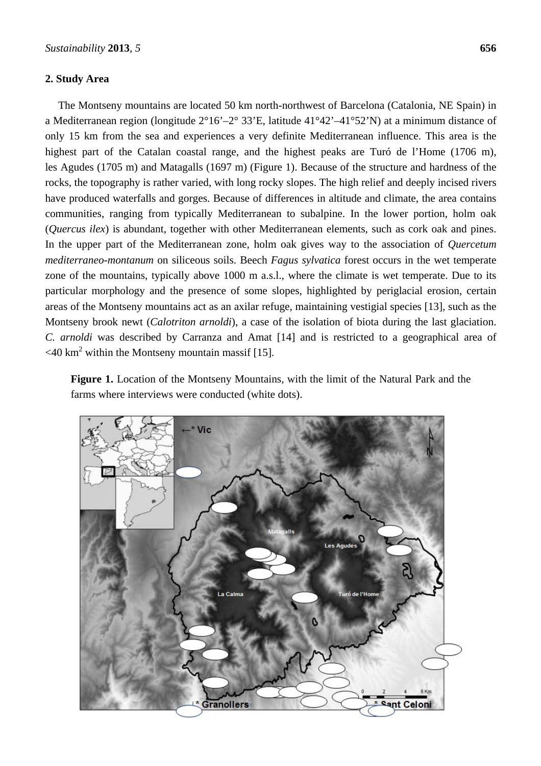# **2. Study Area**

The Montseny mountains are located 50 km north-northwest of Barcelona (Catalonia, NE Spain) in a Mediterranean region (longitude 2°16'–2° 33'E, latitude 41°42'–41°52'N) at a minimum distance of only 15 km from the sea and experiences a very definite Mediterranean influence. This area is the highest part of the Catalan coastal range, and the highest peaks are Turó de l'Home (1706 m), les Agudes (1705 m) and Matagalls (1697 m) (Figure 1). Because of the structure and hardness of the rocks, the topography is rather varied, with long rocky slopes. The high relief and deeply incised rivers have produced waterfalls and gorges. Because of differences in altitude and climate, the area contains communities, ranging from typically Mediterranean to subalpine. In the lower portion, holm oak (*Quercus ilex*) is abundant, together with other Mediterranean elements, such as cork oak and pines. In the upper part of the Mediterranean zone, holm oak gives way to the association of *Quercetum mediterraneo-montanum* on siliceous soils. Beech *Fagus sylvatica* forest occurs in the wet temperate zone of the mountains, typically above 1000 m a.s.l., where the climate is wet temperate. Due to its particular morphology and the presence of some slopes, highlighted by periglacial erosion, certain areas of the Montseny mountains act as an axilar refuge, maintaining vestigial species [13], such as the Montseny brook newt (*Calotriton arnoldi*), a case of the isolation of biota during the last glaciation. *C. arnoldi* was described by Carranza and Amat [14] and is restricted to a geographical area of  $\langle 40 \text{ km}^2 \text{ within the Montseny mountain mass if } [15]$ .

**Figure 1.** Location of the Montseny Mountains, with the limit of the Natural Park and the farms where interviews were conducted (white dots).

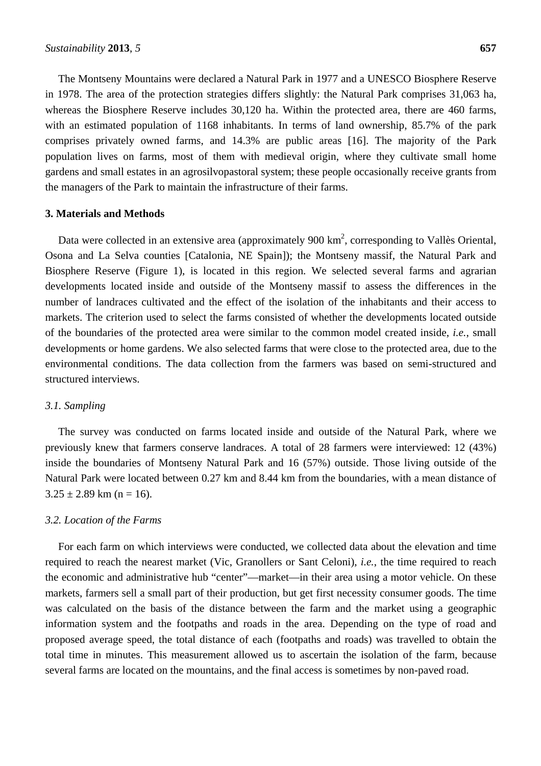The Montseny Mountains were declared a Natural Park in 1977 and a UNESCO Biosphere Reserve in 1978. The area of the protection strategies differs slightly: the Natural Park comprises 31,063 ha, whereas the Biosphere Reserve includes 30,120 ha. Within the protected area, there are 460 farms, with an estimated population of 1168 inhabitants. In terms of land ownership, 85.7% of the park comprises privately owned farms, and 14.3% are public areas [16]. The majority of the Park population lives on farms, most of them with medieval origin, where they cultivate small home gardens and small estates in an agrosilvopastoral system; these people occasionally receive grants from the managers of the Park to maintain the infrastructure of their farms.

## **3. Materials and Methods**

Data were collected in an extensive area (approximately  $900 \text{ km}^2$ , corresponding to Vallès Oriental, Osona and La Selva counties [Catalonia, NE Spain]); the Montseny massif, the Natural Park and Biosphere Reserve (Figure 1), is located in this region. We selected several farms and agrarian developments located inside and outside of the Montseny massif to assess the differences in the number of landraces cultivated and the effect of the isolation of the inhabitants and their access to markets. The criterion used to select the farms consisted of whether the developments located outside of the boundaries of the protected area were similar to the common model created inside, *i.e.*, small developments or home gardens. We also selected farms that were close to the protected area, due to the environmental conditions. The data collection from the farmers was based on semi-structured and structured interviews.

## *3.1. Sampling*

The survey was conducted on farms located inside and outside of the Natural Park, where we previously knew that farmers conserve landraces. A total of 28 farmers were interviewed: 12 (43%) inside the boundaries of Montseny Natural Park and 16 (57%) outside. Those living outside of the Natural Park were located between 0.27 km and 8.44 km from the boundaries, with a mean distance of  $3.25 \pm 2.89$  km (n = 16).

#### *3.2. Location of the Farms*

For each farm on which interviews were conducted, we collected data about the elevation and time required to reach the nearest market (Vic, Granollers or Sant Celoni), *i.e.*, the time required to reach the economic and administrative hub "center"—market—in their area using a motor vehicle. On these markets, farmers sell a small part of their production, but get first necessity consumer goods. The time was calculated on the basis of the distance between the farm and the market using a geographic information system and the footpaths and roads in the area. Depending on the type of road and proposed average speed, the total distance of each (footpaths and roads) was travelled to obtain the total time in minutes. This measurement allowed us to ascertain the isolation of the farm, because several farms are located on the mountains, and the final access is sometimes by non-paved road.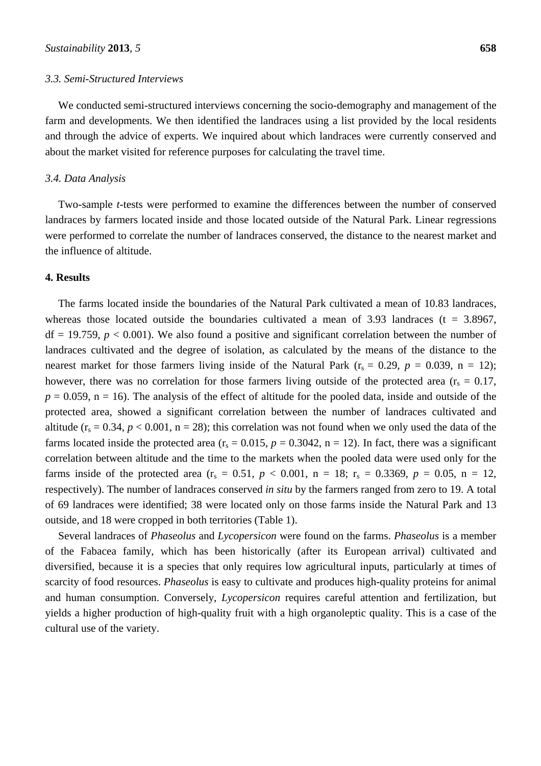## *3.3. Semi-Structured Interviews*

We conducted semi-structured interviews concerning the socio-demography and management of the farm and developments. We then identified the landraces using a list provided by the local residents and through the advice of experts. We inquired about which landraces were currently conserved and about the market visited for reference purposes for calculating the travel time.

#### *3.4. Data Analysis*

Two-sample *t*-tests were performed to examine the differences between the number of conserved landraces by farmers located inside and those located outside of the Natural Park. Linear regressions were performed to correlate the number of landraces conserved, the distance to the nearest market and the influence of altitude.

# **4. Results**

The farms located inside the boundaries of the Natural Park cultivated a mean of 10.83 landraces, whereas those located outside the boundaries cultivated a mean of 3.93 landraces ( $t = 3.8967$ ,  $df = 19.759$ ,  $p < 0.001$ ). We also found a positive and significant correlation between the number of landraces cultivated and the degree of isolation, as calculated by the means of the distance to the nearest market for those farmers living inside of the Natural Park  $(r_s = 0.29, p = 0.039, n = 12)$ ; however, there was no correlation for those farmers living outside of the protected area  $(r_s = 0.17,$  $p = 0.059$ ,  $n = 16$ ). The analysis of the effect of altitude for the pooled data, inside and outside of the protected area, showed a significant correlation between the number of landraces cultivated and altitude  $(r_s = 0.34, p < 0.001, n = 28)$ ; this correlation was not found when we only used the data of the farms located inside the protected area ( $r_s = 0.015$ ,  $p = 0.3042$ ,  $n = 12$ ). In fact, there was a significant correlation between altitude and the time to the markets when the pooled data were used only for the farms inside of the protected area  $(r_s = 0.51, p < 0.001, n = 18; r_s = 0.3369, p = 0.05, n = 12,$ respectively). The number of landraces conserved *in situ* by the farmers ranged from zero to 19. A total of 69 landraces were identified; 38 were located only on those farms inside the Natural Park and 13 outside, and 18 were cropped in both territories (Table 1).

Several landraces of *Phaseolus* and *Lycopersicon* were found on the farms. *Phaseolus* is a member of the Fabacea family, which has been historically (after its European arrival) cultivated and diversified, because it is a species that only requires low agricultural inputs, particularly at times of scarcity of food resources. *Phaseolus* is easy to cultivate and produces high-quality proteins for animal and human consumption. Conversely, *Lycopersicon* requires careful attention and fertilization, but yields a higher production of high-quality fruit with a high organoleptic quality. This is a case of the cultural use of the variety.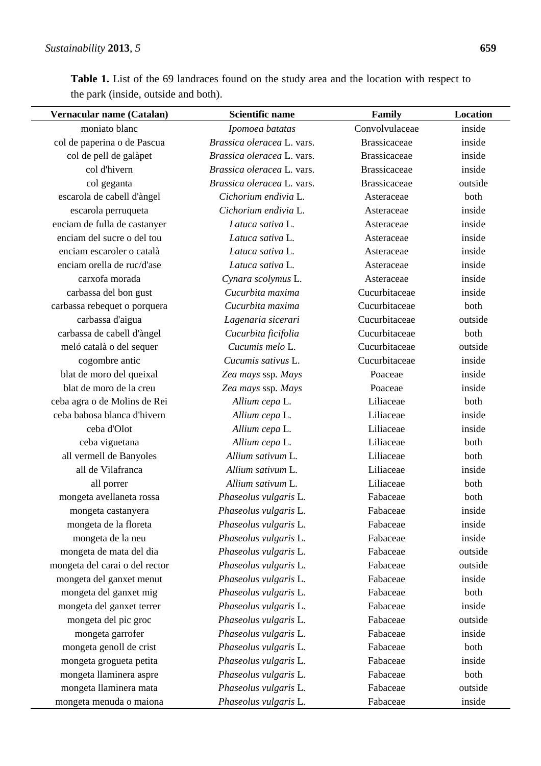l,

Table 1. List of the 69 landraces found on the study area and the location with respect to the park (inside, outside and both).

| Vernacular name (Catalan)      | <b>Scientific name</b>     | Family              | Location |
|--------------------------------|----------------------------|---------------------|----------|
| moniato blanc                  | Ipomoea batatas            | Convolvulaceae      | inside   |
| col de paperina o de Pascua    | Brassica oleracea L. vars. | <b>Brassicaceae</b> | inside   |
| col de pell de galàpet         | Brassica oleracea L. vars. | <b>Brassicaceae</b> | inside   |
| col d'hivern                   | Brassica oleracea L. vars. | <b>Brassicaceae</b> | inside   |
| col geganta                    | Brassica oleracea L. vars. | <b>Brassicaceae</b> | outside  |
| escarola de cabell d'àngel     | Cichorium endivia L.       | Asteraceae          | both     |
| escarola perruqueta            | Cichorium endivia L.       | Asteraceae          | inside   |
| enciam de fulla de castanyer   | Latuca sativa L.           | Asteraceae          | inside   |
| enciam del sucre o del tou     | Latuca sativa L.           | Asteraceae          | inside   |
| enciam escaroler o català      | Latuca sativa L.           | Asteraceae          | inside   |
| enciam orella de ruc/d'ase     | Latuca sativa L.           | Asteraceae          | inside   |
| carxofa morada                 | Cynara scolymus L.         | Asteraceae          | inside   |
| carbassa del bon gust          | Cucurbita maxima           | Cucurbitaceae       | inside   |
| carbassa rebequet o porquera   | Cucurbita maxima           | Cucurbitaceae       | both     |
| carbassa d'aigua               | Lagenaria sicerari         | Cucurbitaceae       | outside  |
| carbassa de cabell d'àngel     | Cucurbita ficifolia        | Cucurbitaceae       | both     |
| meló català o del sequer       | Cucumis melo L.            | Cucurbitaceae       | outside  |
| cogombre antic                 | Cucumis sativus L.         | Cucurbitaceae       | inside   |
| blat de moro del queixal       | Zea mays ssp. Mays         | Poaceae             | inside   |
| blat de moro de la creu        | Zea mays ssp. Mays         | Poaceae             | inside   |
| ceba agra o de Molins de Rei   | Allium cepa L.             | Liliaceae           | both     |
| ceba babosa blanca d'hivern    | Allium cepa L.             | Liliaceae           | inside   |
| ceba d'Olot                    | Allium cepa L.             | Liliaceae           | inside   |
| ceba viguetana                 | Allium cepa L.             | Liliaceae           | both     |
| all vermell de Banyoles        | Allium sativum L.          | Liliaceae           | both     |
| all de Vilafranca              | Allium sativum L.          | Liliaceae           | inside   |
| all porrer                     | Allium sativum L.          | Liliaceae           | both     |
| mongeta avellaneta rossa       | Phaseolus vulgaris L.      | Fabaceae            | both     |
| mongeta castanyera             | Phaseolus vulgaris L.      | Fabaceae            | inside   |
| mongeta de la floreta          | Phaseolus vulgaris L.      | Fabaceae            | inside   |
| mongeta de la neu              | Phaseolus vulgaris L.      | Fabaceae            | inside   |
| mongeta de mata del dia        | Phaseolus vulgaris L.      | Fabaceae            | outside  |
| mongeta del carai o del rector | Phaseolus vulgaris L.      | Fabaceae            | outside  |
| mongeta del ganxet menut       | Phaseolus vulgaris L.      | Fabaceae            | inside   |
| mongeta del ganxet mig         | Phaseolus vulgaris L.      | Fabaceae            | both     |
| mongeta del ganxet terrer      | Phaseolus vulgaris L.      | Fabaceae            | inside   |
| mongeta del pic groc           | Phaseolus vulgaris L.      | Fabaceae            | outside  |
| mongeta garrofer               | Phaseolus vulgaris L.      | Fabaceae            | inside   |
| mongeta genoll de crist        | Phaseolus vulgaris L.      | Fabaceae            | both     |
| mongeta grogueta petita        | Phaseolus vulgaris L.      | Fabaceae            | inside   |
| mongeta llaminera aspre        | Phaseolus vulgaris L.      | Fabaceae            | both     |
| mongeta llaminera mata         | Phaseolus vulgaris L.      | Fabaceae            | outside  |
| mongeta menuda o maiona        | Phaseolus vulgaris L.      | Fabaceae            | inside   |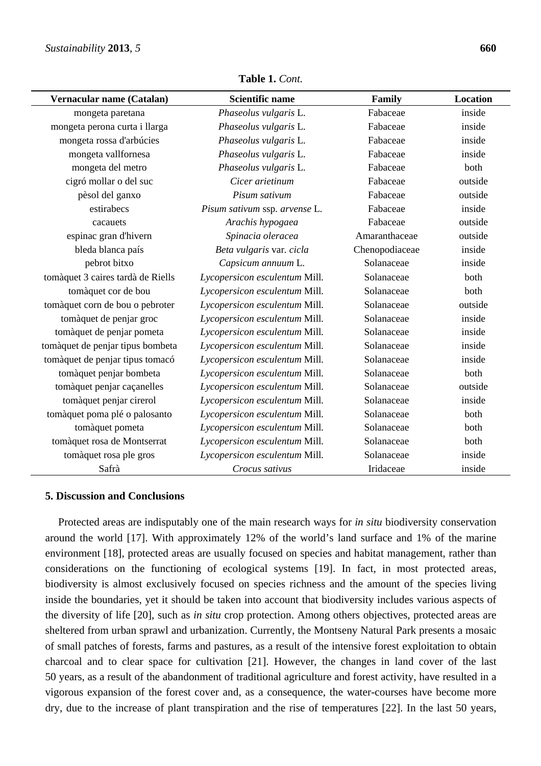| Vernacular name (Catalan)         | <b>Scientific name</b>        | Family         | <b>Location</b> |
|-----------------------------------|-------------------------------|----------------|-----------------|
| mongeta paretana                  | Phaseolus vulgaris L.         | Fabaceae       | inside          |
| mongeta perona curta i llarga     | Phaseolus vulgaris L.         | Fabaceae       | inside          |
| mongeta rossa d'arbúcies          | Phaseolus vulgaris L.         | Fabaceae       | inside          |
| mongeta vallfornesa               | Phaseolus vulgaris L.         | Fabaceae       | inside          |
| mongeta del metro                 | Phaseolus vulgaris L.         | Fabaceae       | both            |
| cigró mollar o del suc            | Cicer arietinum               | Fabaceae       | outside         |
| pèsol del ganxo                   | Pisum sativum                 | Fabaceae       | outside         |
| estirabecs                        | Pisum sativum ssp. arvense L. | Fabaceae       | inside          |
| cacauets                          | Arachis hypogaea              | Fabaceae       | outside         |
| espinac gran d'hivern             | Spinacia oleracea             | Amaranthaceae  | outside         |
| bleda blanca país                 | Beta vulgaris var. cicla      | Chenopodiaceae | inside          |
| pebrot bitxo                      | Capsicum annuum L.            | Solanaceae     | inside          |
| tomàquet 3 caires tardà de Riells | Lycopersicon esculentum Mill. | Solanaceae     | both            |
| tomàquet cor de bou               | Lycopersicon esculentum Mill. | Solanaceae     | both            |
| tomàquet corn de bou o pebroter   | Lycopersicon esculentum Mill. | Solanaceae     | outside         |
| tomàquet de penjar groc           | Lycopersicon esculentum Mill. | Solanaceae     | inside          |
| tomàquet de penjar pometa         | Lycopersicon esculentum Mill. | Solanaceae     | inside          |
| tomàquet de penjar tipus bombeta  | Lycopersicon esculentum Mill. | Solanaceae     | inside          |
| tomàquet de penjar tipus tomacó   | Lycopersicon esculentum Mill. | Solanaceae     | inside          |
| tomàquet penjar bombeta           | Lycopersicon esculentum Mill. | Solanaceae     | both            |
| tomàquet penjar caçanelles        | Lycopersicon esculentum Mill. | Solanaceae     | outside         |
| tomàquet penjar cirerol           | Lycopersicon esculentum Mill. | Solanaceae     | inside          |
| tomàquet poma plé o palosanto     | Lycopersicon esculentum Mill. | Solanaceae     | both            |
| tomàquet pometa                   | Lycopersicon esculentum Mill. | Solanaceae     | both            |
| tomàquet rosa de Montserrat       | Lycopersicon esculentum Mill. | Solanaceae     | both            |
| tomàquet rosa ple gros            | Lycopersicon esculentum Mill. | Solanaceae     | inside          |
| Safrà                             | Crocus sativus                | Iridaceae      | inside          |

**Table 1.** *Cont.* 

# **5. Discussion and Conclusions**

Protected areas are indisputably one of the main research ways for *in situ* biodiversity conservation around the world [17]. With approximately 12% of the world's land surface and 1% of the marine environment [18], protected areas are usually focused on species and habitat management, rather than considerations on the functioning of ecological systems [19]. In fact, in most protected areas, biodiversity is almost exclusively focused on species richness and the amount of the species living inside the boundaries, yet it should be taken into account that biodiversity includes various aspects of the diversity of life [20], such as *in situ* crop protection. Among others objectives, protected areas are sheltered from urban sprawl and urbanization. Currently, the Montseny Natural Park presents a mosaic of small patches of forests, farms and pastures, as a result of the intensive forest exploitation to obtain charcoal and to clear space for cultivation [21]. However, the changes in land cover of the last 50 years, as a result of the abandonment of traditional agriculture and forest activity, have resulted in a vigorous expansion of the forest cover and, as a consequence, the water-courses have become more dry, due to the increase of plant transpiration and the rise of temperatures [22]. In the last 50 years,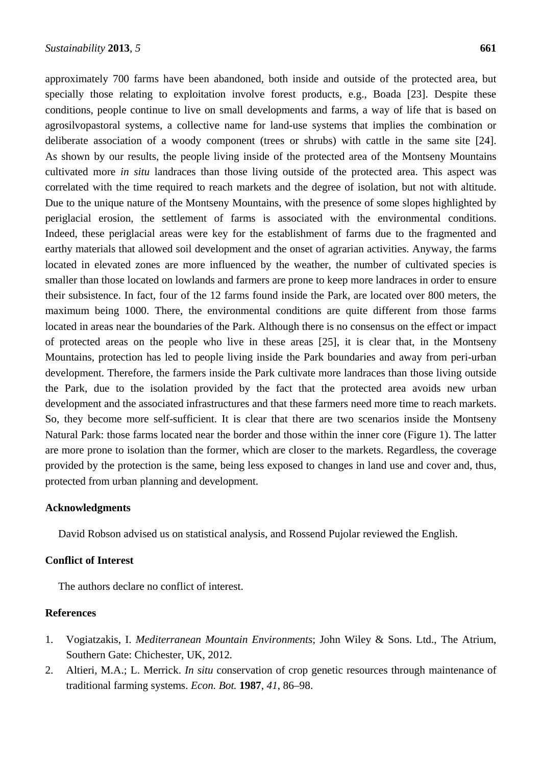approximately 700 farms have been abandoned, both inside and outside of the protected area, but specially those relating to exploitation involve forest products, e.g., Boada [23]. Despite these conditions, people continue to live on small developments and farms, a way of life that is based on agrosilvopastoral systems, a collective name for land-use systems that implies the combination or deliberate association of a woody component (trees or shrubs) with cattle in the same site [24]. As shown by our results, the people living inside of the protected area of the Montseny Mountains cultivated more *in situ* landraces than those living outside of the protected area. This aspect was correlated with the time required to reach markets and the degree of isolation, but not with altitude. Due to the unique nature of the Montseny Mountains, with the presence of some slopes highlighted by periglacial erosion, the settlement of farms is associated with the environmental conditions. Indeed, these periglacial areas were key for the establishment of farms due to the fragmented and earthy materials that allowed soil development and the onset of agrarian activities. Anyway, the farms located in elevated zones are more influenced by the weather, the number of cultivated species is smaller than those located on lowlands and farmers are prone to keep more landraces in order to ensure their subsistence. In fact, four of the 12 farms found inside the Park, are located over 800 meters, the maximum being 1000. There, the environmental conditions are quite different from those farms located in areas near the boundaries of the Park. Although there is no consensus on the effect or impact of protected areas on the people who live in these areas [25], it is clear that, in the Montseny Mountains, protection has led to people living inside the Park boundaries and away from peri-urban development. Therefore, the farmers inside the Park cultivate more landraces than those living outside the Park, due to the isolation provided by the fact that the protected area avoids new urban development and the associated infrastructures and that these farmers need more time to reach markets. So, they become more self-sufficient. It is clear that there are two scenarios inside the Montseny Natural Park: those farms located near the border and those within the inner core (Figure 1). The latter are more prone to isolation than the former, which are closer to the markets. Regardless, the coverage provided by the protection is the same, being less exposed to changes in land use and cover and, thus, protected from urban planning and development.

## **Acknowledgments**

David Robson advised us on statistical analysis, and Rossend Pujolar reviewed the English.

# **Conflict of Interest**

The authors declare no conflict of interest.

## **References**

- 1. Vogiatzakis, I. *Mediterranean Mountain Environments*; John Wiley & Sons. Ltd., The Atrium, Southern Gate: Chichester, UK, 2012*.*
- 2. Altieri, M.A.; L. Merrick. *In situ* conservation of crop genetic resources through maintenance of traditional farming systems. *Econ. Bot.* **1987**, *41*, 86–98.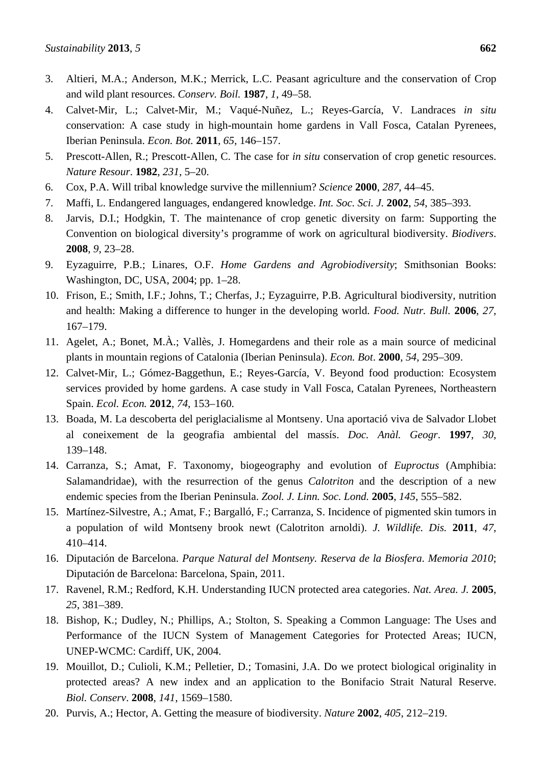- 4. Calvet-Mir, L.; Calvet-Mir, M.; Vaqué-Nuñez, L.; Reyes-García, V. Landraces *in situ* conservation: A case study in high-mountain home gardens in Vall Fosca, Catalan Pyrenees, Iberian Peninsula. *Econ. Bot.* **2011**, *65*, 146–157.
- 5. Prescott-Allen, R.; Prescott-Allen, C. The case for *in situ* conservation of crop genetic resources. *Nature Resour*. **1982**, *231*, 5–20.
- 6. Cox, P.A. Will tribal knowledge survive the millennium? *Science* **2000**, *287*, 44–45.
- 7. Maffi, L. Endangered languages, endangered knowledge. *Int. Soc. Sci. J.* **2002**, *54*, 385–393.
- 8. Jarvis, D.I.; Hodgkin, T. The maintenance of crop genetic diversity on farm: Supporting the Convention on biological diversity's programme of work on agricultural biodiversity. *Biodivers*. **2008**, *9*, 23–28.
- 9. Eyzaguirre, P.B.; Linares, O.F. *Home Gardens and Agrobiodiversity*; Smithsonian Books: Washington, DC, USA, 2004; pp. 1–28.
- 10. Frison, E.; Smith, I.F.; Johns, T.; Cherfas, J.; Eyzaguirre, P.B. Agricultural biodiversity, nutrition and health: Making a difference to hunger in the developing world. *Food. Nutr. Bull.* **2006**, *27*, 167–179.
- 11. Agelet, A.; Bonet, M.À.; Vallès, J. Homegardens and their role as a main source of medicinal plants in mountain regions of Catalonia (Iberian Peninsula). *Econ. Bot*. **2000**, *54*, 295–309.
- 12. Calvet-Mir, L.; Gómez-Baggethun, E.; Reyes-García, V. Beyond food production: Ecosystem services provided by home gardens. A case study in Vall Fosca, Catalan Pyrenees, Northeastern Spain. *Ecol. Econ.* **2012**, *74*, 153–160.
- 13. Boada, M. La descoberta del periglacialisme al Montseny. Una aportació viva de Salvador Llobet al coneixement de la geografia ambiental del massís. *Doc. Anàl. Geogr*. **1997**, *30*, 139–148.
- 14. Carranza, S.; Amat, F. Taxonomy, biogeography and evolution of *Euproctus* (Amphibia: Salamandridae), with the resurrection of the genus *Calotriton* and the description of a new endemic species from the Iberian Peninsula. *Zool. J. Linn. Soc. Lond.* **2005**, *145*, 555–582.
- 15. Martínez-Silvestre, A.; Amat, F.; Bargalló, F.; Carranza, S. Incidence of pigmented skin tumors in a population of wild Montseny brook newt (Calotriton arnoldi). *J. Wildlife. Dis.* **2011**, *47*, 410–414.
- 16. Diputación de Barcelona. *Parque Natural del Montseny. Reserva de la Biosfera*. *Memoria 2010*; Diputación de Barcelona: Barcelona, Spain, 2011.
- 17. Ravenel, R.M.; Redford, K.H. Understanding IUCN protected area categories. *Nat. Area. J.* **2005**, *25*, 381–389.
- 18. Bishop, K.; Dudley, N.; Phillips, A.; Stolton, S. Speaking a Common Language: The Uses and Performance of the IUCN System of Management Categories for Protected Areas; IUCN, UNEP-WCMC: Cardiff, UK, 2004.
- 19. Mouillot, D.; Culioli, K.M.; Pelletier, D.; Tomasini, J.A. Do we protect biological originality in protected areas? A new index and an application to the Bonifacio Strait Natural Reserve. *Biol. Conserv*. **2008**, *141*, 1569–1580.
- 20. Purvis, A.; Hector, A. Getting the measure of biodiversity. *Nature* **2002**, *405*, 212–219.